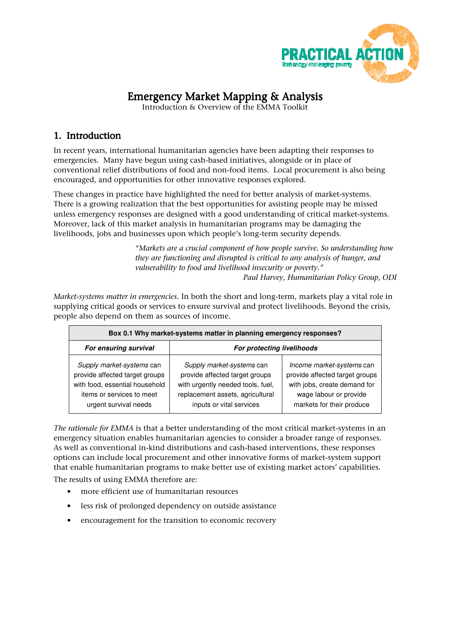

# Emergency Market Mapping & Analysis

Introduction & Overview of the EMMA Toolkit

# 1. Introduction

In recent years, international humanitarian agencies have been adapting their responses to emergencies. Many have begun using cash-based initiatives, alongside or in place of conventional relief distributions of food and non-food items. Local procurement is also being encouraged, and opportunities for other innovative responses explored.

These changes in practice have highlighted the need for better analysis of market-systems. There is a growing realization that the best opportunities for assisting people may be missed unless emergency responses are designed with a good understanding of critical market-systems. Moreover, lack of this market analysis in humanitarian programs may be damaging the livelihoods, jobs and businesses upon which people's long-term security depends.

> "Markets are a crucial component of how people survive. So understanding how they are functioning and disrupted is critical to any analysis of hunger, and vulnerability to food and livelihood insecurity or poverty." Paul Harvey, Humanitarian Policy Group, ODI

Market-systems matter in emergencies. In both the short and long-term, markets play a vital role in supplying critical goods or services to ensure survival and protect livelihoods. Beyond the crisis, people also depend on them as sources of income.

| Box 0.1 Why market-systems matter in planning emergency responses?                                                                                  |                                                                                                                                                                  |                                                                                                                                                    |  |  |  |  |
|-----------------------------------------------------------------------------------------------------------------------------------------------------|------------------------------------------------------------------------------------------------------------------------------------------------------------------|----------------------------------------------------------------------------------------------------------------------------------------------------|--|--|--|--|
| For ensuring survival                                                                                                                               | For protecting livelihoods                                                                                                                                       |                                                                                                                                                    |  |  |  |  |
| Supply market-systems can<br>provide affected target groups<br>with food, essential household<br>items or services to meet<br>urgent survival needs | Supply market-systems can<br>provide affected target groups<br>with urgently needed tools, fuel,<br>replacement assets, agricultural<br>inputs or vital services | Income market-systems can<br>provide affected target groups<br>with jobs, create demand for<br>wage labour or provide<br>markets for their produce |  |  |  |  |

The rationale for EMMA is that a better understanding of the most critical market-systems in an emergency situation enables humanitarian agencies to consider a broader range of responses. As well as conventional in-kind distributions and cash-based interventions, these responses options can include local procurement and other innovative forms of market-system support that enable humanitarian programs to make better use of existing market actors' capabilities. The results of using EMMA therefore are:

- more efficient use of humanitarian resources
- less risk of prolonged dependency on outside assistance
- encouragement for the transition to economic recovery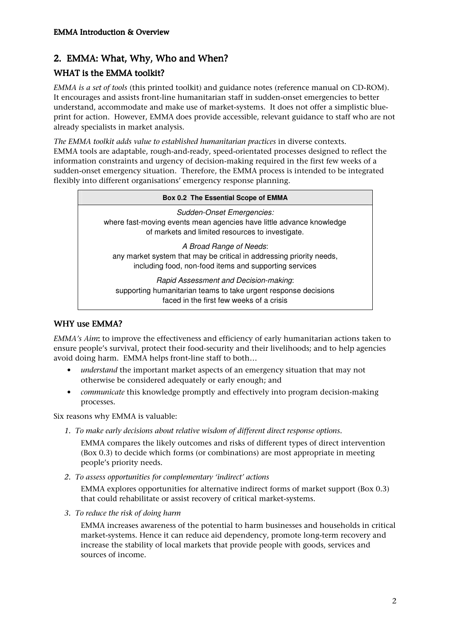# 2. EMMA: What, Why, Who and When?

## WHAT is the EMMA toolkit?

EMMA is a set of tools (this printed toolkit) and guidance notes (reference manual on CD-ROM). It encourages and assists front-line humanitarian staff in sudden-onset emergencies to better understand, accommodate and make use of market-systems. It does not offer a simplistic blueprint for action. However, EMMA does provide accessible, relevant guidance to staff who are not already specialists in market analysis.

The EMMA toolkit adds value to established humanitarian practices in diverse contexts. EMMA tools are adaptable, rough-and-ready, speed-orientated processes designed to reflect the information constraints and urgency of decision-making required in the first few weeks of a sudden-onset emergency situation. Therefore, the EMMA process is intended to be integrated flexibly into different organisations' emergency response planning.

| Box 0.2 The Essential Scope of EMMA                                                                                                                       |
|-----------------------------------------------------------------------------------------------------------------------------------------------------------|
| Sudden-Onset Emergencies:<br>where fast-moving events mean agencies have little advance knowledge<br>of markets and limited resources to investigate.     |
| A Broad Range of Needs:<br>any market system that may be critical in addressing priority needs,<br>including food, non-food items and supporting services |
| Rapid Assessment and Decision-making:<br>supporting humanitarian teams to take urgent response decisions<br>faced in the first few weeks of a crisis      |

### WHY use EMMA?

EMMA's Aim: to improve the effectiveness and efficiency of early humanitarian actions taken to ensure people's survival, protect their food-security and their livelihoods; and to help agencies avoid doing harm. EMMA helps front-line staff to both…

- understand the important market aspects of an emergency situation that may not otherwise be considered adequately or early enough; and
- *communicate* this knowledge promptly and effectively into program decision-making processes.

Six reasons why EMMA is valuable:

1. To make early decisions about relative wisdom of different direct response options.

EMMA compares the likely outcomes and risks of different types of direct intervention (Box 0.3) to decide which forms (or combinations) are most appropriate in meeting people's priority needs.

2. To assess opportunities for complementary 'indirect' actions

EMMA explores opportunities for alternative indirect forms of market support (Box 0.3) that could rehabilitate or assist recovery of critical market-systems.

3. To reduce the risk of doing harm

EMMA increases awareness of the potential to harm businesses and households in critical market-systems. Hence it can reduce aid dependency, promote long-term recovery and increase the stability of local markets that provide people with goods, services and sources of income.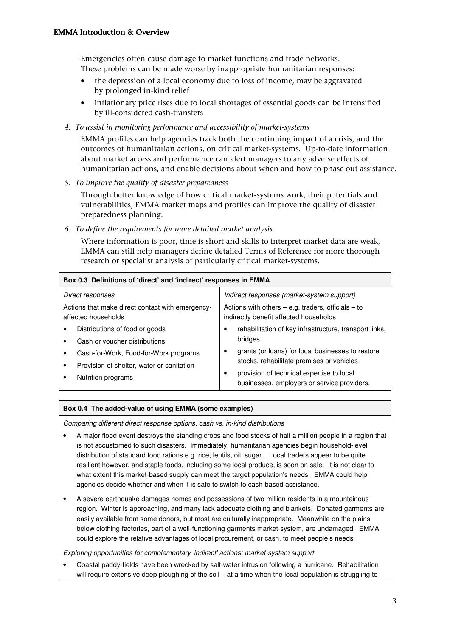Emergencies often cause damage to market functions and trade networks. These problems can be made worse by inappropriate humanitarian responses:

- the depression of a local economy due to loss of income, may be aggravated by prolonged in-kind relief
- inflationary price rises due to local shortages of essential goods can be intensified by ill-considered cash-transfers
- 4. To assist in monitoring performance and accessibility of market-systems

EMMA profiles can help agencies track both the continuing impact of a crisis, and the outcomes of humanitarian actions, on critical market-systems. Up-to-date information about market access and performance can alert managers to any adverse effects of humanitarian actions, and enable decisions about when and how to phase out assistance.

5. To improve the quality of disaster preparedness

Through better knowledge of how critical market-systems work, their potentials and vulnerabilities, EMMA market maps and profiles can improve the quality of disaster preparedness planning.

6. To define the requirements for more detailed market analysis.

Where information is poor, time is short and skills to interpret market data are weak, EMMA can still help managers define detailed Terms of Reference for more thorough research or specialist analysis of particularly critical market-systems.

| Box 0.3 Definitions of 'direct' and 'indirect' responses in EMMA                                                                      |  |  |  |  |  |
|---------------------------------------------------------------------------------------------------------------------------------------|--|--|--|--|--|
| Indirect responses (market-system support)                                                                                            |  |  |  |  |  |
| Actions with others $-$ e.g. traders, officials $-$ to<br>indirectly benefit affected households                                      |  |  |  |  |  |
| rehabilitation of key infrastructure, transport links,<br>bridges                                                                     |  |  |  |  |  |
| grants (or loans) for local businesses to restore                                                                                     |  |  |  |  |  |
| stocks, rehabilitate premises or vehicles<br>provision of technical expertise to local<br>businesses, employers or service providers. |  |  |  |  |  |
|                                                                                                                                       |  |  |  |  |  |

#### **Box 0.4 The added-value of using EMMA (some examples)**

Comparing different direct response options: cash vs. in-kind distributions

- A major flood event destroys the standing crops and food stocks of half a million people in a region that is not accustomed to such disasters. Immediately, humanitarian agencies begin household-level distribution of standard food rations e.g. rice, lentils, oil, sugar. Local traders appear to be quite resilient however, and staple foods, including some local produce, is soon on sale. It is not clear to what extent this market-based supply can meet the target population's needs. EMMA could help agencies decide whether and when it is safe to switch to cash-based assistance.
- A severe earthquake damages homes and possessions of two million residents in a mountainous region. Winter is approaching, and many lack adequate clothing and blankets. Donated garments are easily available from some donors, but most are culturally inappropriate. Meanwhile on the plains below clothing factories, part of a well-functioning garments market-system, are undamaged. EMMA could explore the relative advantages of local procurement, or cash, to meet people's needs.

Exploring opportunities for complementary 'indirect' actions: market-system support

• Coastal paddy-fields have been wrecked by salt-water intrusion following a hurricane. Rehabilitation will require extensive deep ploughing of the soil – at a time when the local population is struggling to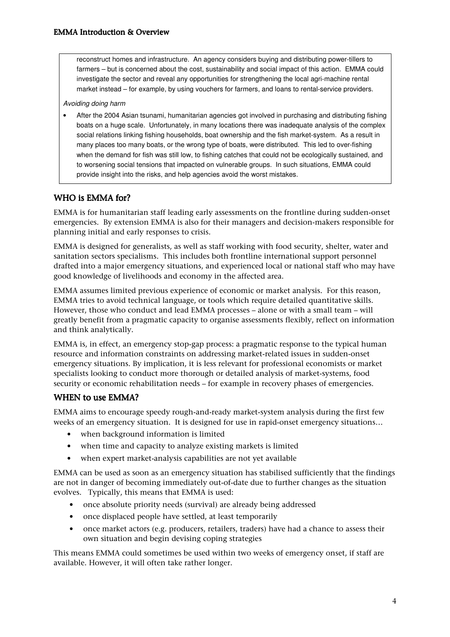reconstruct homes and infrastructure. An agency considers buying and distributing power-tillers to farmers – but is concerned about the cost, sustainability and social impact of this action. EMMA could investigate the sector and reveal any opportunities for strengthening the local agri-machine rental market instead – for example, by using vouchers for farmers, and loans to rental-service providers.

#### Avoiding doing harm

• After the 2004 Asian tsunami, humanitarian agencies got involved in purchasing and distributing fishing boats on a huge scale. Unfortunately, in many locations there was inadequate analysis of the complex social relations linking fishing households, boat ownership and the fish market-system. As a result in many places too many boats, or the wrong type of boats, were distributed. This led to over-fishing when the demand for fish was still low, to fishing catches that could not be ecologically sustained, and to worsening social tensions that impacted on vulnerable groups. In such situations, EMMA could provide insight into the risks, and help agencies avoid the worst mistakes.

### WHO is EMMA for?

EMMA is for humanitarian staff leading early assessments on the frontline during sudden-onset emergencies. By extension EMMA is also for their managers and decision-makers responsible for planning initial and early responses to crisis.

EMMA is designed for generalists, as well as staff working with food security, shelter, water and sanitation sectors specialisms. This includes both frontline international support personnel drafted into a major emergency situations, and experienced local or national staff who may have good knowledge of livelihoods and economy in the affected area.

EMMA assumes limited previous experience of economic or market analysis. For this reason, EMMA tries to avoid technical language, or tools which require detailed quantitative skills. However, those who conduct and lead EMMA processes – alone or with a small team – will greatly benefit from a pragmatic capacity to organise assessments flexibly, reflect on information and think analytically.

EMMA is, in effect, an emergency stop-gap process: a pragmatic response to the typical human resource and information constraints on addressing market-related issues in sudden-onset emergency situations. By implication, it is less relevant for professional economists or market specialists looking to conduct more thorough or detailed analysis of market-systems, food security or economic rehabilitation needs – for example in recovery phases of emergencies.

### WHEN to use EMMA?

EMMA aims to encourage speedy rough-and-ready market-system analysis during the first few weeks of an emergency situation. It is designed for use in rapid-onset emergency situations…

- when background information is limited
- when time and capacity to analyze existing markets is limited
- when expert market-analysis capabilities are not yet available

EMMA can be used as soon as an emergency situation has stabilised sufficiently that the findings are not in danger of becoming immediately out-of-date due to further changes as the situation evolves. Typically, this means that EMMA is used:

- once absolute priority needs (survival) are already being addressed
- once displaced people have settled, at least temporarily
- once market actors (e.g. producers, retailers, traders) have had a chance to assess their own situation and begin devising coping strategies

This means EMMA could sometimes be used within two weeks of emergency onset, if staff are available. However, it will often take rather longer.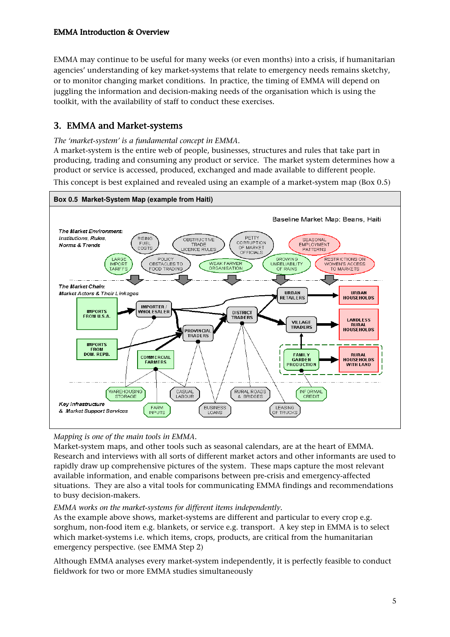EMMA may continue to be useful for many weeks (or even months) into a crisis, if humanitarian agencies' understanding of key market-systems that relate to emergency needs remains sketchy, or to monitor changing market conditions. In practice, the timing of EMMA will depend on juggling the information and decision-making needs of the organisation which is using the toolkit, with the availability of staff to conduct these exercises.

# 3. EMMA and Market-systems

#### The 'market-system' is a fundamental concept in EMMA.

A market-system is the entire web of people, businesses, structures and rules that take part in producing, trading and consuming any product or service. The market system determines how a product or service is accessed, produced, exchanged and made available to different people. This concept is best explained and revealed using an example of a market-system map (Box 0.5)



### Mapping is one of the main tools in EMMA.

Market-system maps, and other tools such as seasonal calendars, are at the heart of EMMA. Research and interviews with all sorts of different market actors and other informants are used to rapidly draw up comprehensive pictures of the system. These maps capture the most relevant available information, and enable comparisons between pre-crisis and emergency-affected situations. They are also a vital tools for communicating EMMA findings and recommendations to busy decision-makers.

#### EMMA works on the market-systems for different items independently.

As the example above shows, market-systems are different and particular to every crop e.g. sorghum, non-food item e.g. blankets, or service e.g. transport. A key step in EMMA is to select which market-systems i.e. which items, crops, products, are critical from the humanitarian emergency perspective. (see EMMA Step 2)

Although EMMA analyses every market-system independently, it is perfectly feasible to conduct fieldwork for two or more EMMA studies simultaneously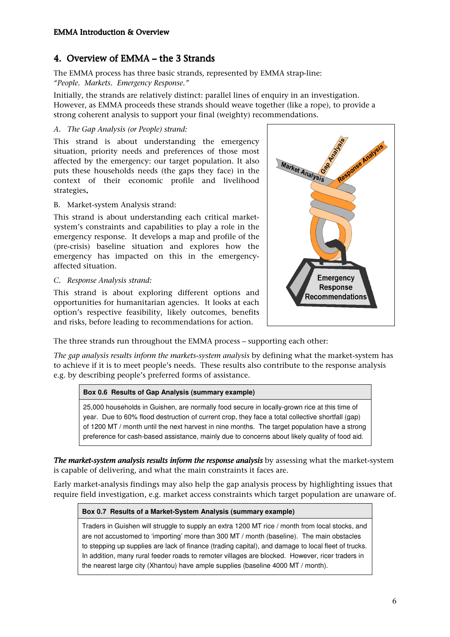# 4. Overview of EMMA – the 3 Strands

The EMMA process has three basic strands, represented by EMMA strap-line: "People. Markets. Emergency Response."

Initially, the strands are relatively distinct: parallel lines of enquiry in an investigation. However, as EMMA proceeds these strands should weave together (like a rope), to provide a strong coherent analysis to support your final (weighty) recommendations.

#### A. The Gap Analysis (or People) strand:

This strand is about understanding the emergency situation, priority needs and preferences of those most affected by the emergency: our target population. It also puts these households needs (the gaps they face) in the context of their economic profile and livelihood strategies.

#### B. Market-system Analysis strand:

This strand is about understanding each critical marketsystem's constraints and capabilities to play a role in the emergency response. It develops a map and profile of the (pre-crisis) baseline situation and explores how the emergency has impacted on this in the emergencyaffected situation.

#### C. Response Analysis strand:

This strand is about exploring different options and opportunities for humanitarian agencies. It looks at each option's respective feasibility, likely outcomes, benefits and risks, before leading to recommendations for action.



The three strands run throughout the EMMA process – supporting each other:

The gap analysis results inform the markets-system analysis by defining what the market-system has to achieve if it is to meet people's needs. These results also contribute to the response analysis e.g. by describing people's preferred forms of assistance.

#### **Box 0.6 Results of Gap Analysis (summary example)**

25,000 households in Guishen, are normally food secure in locally-grown rice at this time of year. Due to 60% flood destruction of current crop, they face a total collective shortfall (gap) of 1200 MT / month until the next harvest in nine months. The target population have a strong preference for cash-based assistance, mainly due to concerns about likely quality of food aid.

The market-system analysis results inform the response analysis by assessing what the market-system is capable of delivering, and what the main constraints it faces are.

Early market-analysis findings may also help the gap analysis process by highlighting issues that require field investigation, e.g. market access constraints which target population are unaware of.

#### **Box 0.7 Results of a Market-System Analysis (summary example)**

Traders in Guishen will struggle to supply an extra 1200 MT rice / month from local stocks, and are not accustomed to 'importing' more than 300 MT / month (baseline). The main obstacles to stepping up supplies are lack of finance (trading capital), and damage to local fleet of trucks. In addition, many rural feeder roads to remoter villages are blocked. However, ricer traders in the nearest large city (Xhantou) have ample supplies (baseline 4000 MT / month).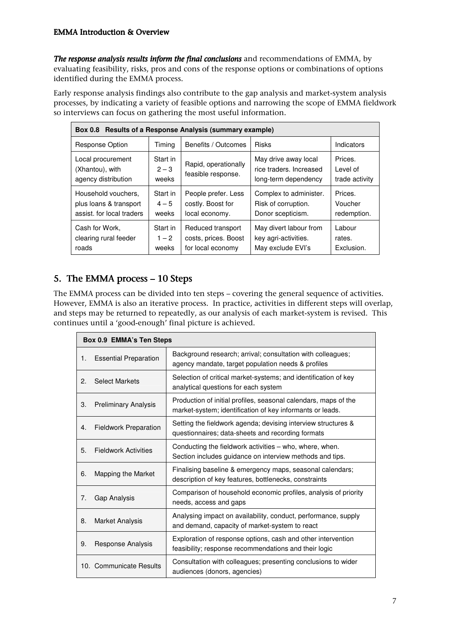#### EMMA Introduction & Overview

The response analysis results inform the final conclusions and recommendations of EMMA, by evaluating feasibility, risks, pros and cons of the response options or combinations of options identified during the EMMA process.

Early response analysis findings also contribute to the gap analysis and market-system analysis processes, by indicating a variety of feasible options and narrowing the scope of EMMA fieldwork so interviews can focus on gathering the most useful information.

| Box 0.8 Results of a Response Analysis (summary example)                   |                              |                                                                |                                                                         |                                       |  |  |
|----------------------------------------------------------------------------|------------------------------|----------------------------------------------------------------|-------------------------------------------------------------------------|---------------------------------------|--|--|
| <b>Response Option</b>                                                     | Timing                       | Benefits / Outcomes                                            | <b>Risks</b>                                                            | Indicators                            |  |  |
| Local procurement<br>(Xhantou), with<br>agency distribution                | Start in<br>$2 - 3$<br>weeks | Rapid, operationally<br>feasible response.                     | May drive away local<br>rice traders. Increased<br>long-term dependency | Prices.<br>Level of<br>trade activity |  |  |
| Household vouchers.<br>plus loans & transport<br>assist, for local traders | Start in<br>$4 - 5$<br>weeks | People prefer. Less<br>costly. Boost for<br>local economy.     | Complex to administer.<br>Risk of corruption.<br>Donor scepticism.      | Prices.<br>Voucher<br>redemption.     |  |  |
| Cash for Work.<br>clearing rural feeder<br>roads                           | Start in<br>$1 - 2$<br>weeks | Reduced transport<br>costs, prices. Boost<br>for local economy | May divert labour from<br>key agri-activities.<br>May exclude EVI's     | Labour<br>rates.<br>Exclusion.        |  |  |

# 5. The EMMA process  $-10$  Steps

The EMMA process can be divided into ten steps – covering the general sequence of activities. However, EMMA is also an iterative process. In practice, activities in different steps will overlap, and steps may be returned to repeatedly, as our analysis of each market-system is revised. This continues until a 'good-enough' final picture is achieved.

| Box 0.9 EMMA's Ten Steps |                                                                                                                                                   |                                                                                                                              |  |  |
|--------------------------|---------------------------------------------------------------------------------------------------------------------------------------------------|------------------------------------------------------------------------------------------------------------------------------|--|--|
| 1.                       | Background research; arrival; consultation with colleagues;<br><b>Essential Preparation</b><br>agency mandate, target population needs & profiles |                                                                                                                              |  |  |
| 2.                       | <b>Select Markets</b>                                                                                                                             | Selection of critical market-systems; and identification of key<br>analytical questions for each system                      |  |  |
| 3.                       | <b>Preliminary Analysis</b>                                                                                                                       | Production of initial profiles, seasonal calendars, maps of the<br>market-system; identification of key informants or leads. |  |  |
| 4.                       | <b>Fieldwork Preparation</b>                                                                                                                      | Setting the fieldwork agenda; devising interview structures &<br>questionnaires; data-sheets and recording formats           |  |  |
| 5.                       | <b>Fieldwork Activities</b>                                                                                                                       | Conducting the fieldwork activities – who, where, when.<br>Section includes quidance on interview methods and tips.          |  |  |
| 6.                       | Mapping the Market                                                                                                                                | Finalising baseline & emergency maps, seasonal calendars;<br>description of key features, bottlenecks, constraints           |  |  |
| 7.                       | Gap Analysis                                                                                                                                      | Comparison of household economic profiles, analysis of priority<br>needs, access and gaps                                    |  |  |
| 8.                       | <b>Market Analysis</b>                                                                                                                            | Analysing impact on availability, conduct, performance, supply<br>and demand, capacity of market-system to react             |  |  |
| 9.                       | Response Analysis                                                                                                                                 | Exploration of response options, cash and other intervention<br>feasibility; response recommendations and their logic        |  |  |
|                          | 10. Communicate Results                                                                                                                           | Consultation with colleagues; presenting conclusions to wider<br>audiences (donors, agencies)                                |  |  |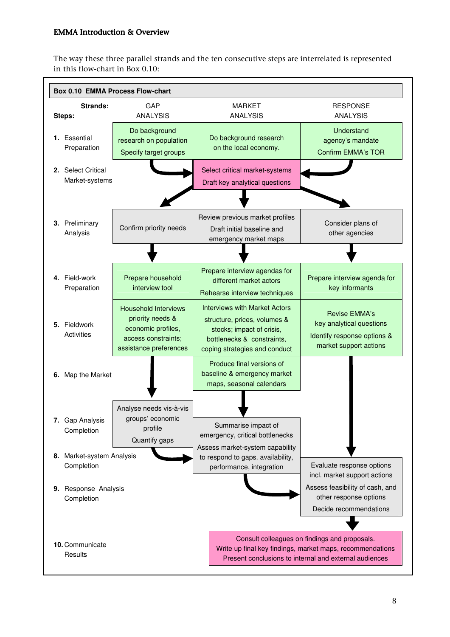### EMMA Introduction & Overview

The way these three parallel strands and the ten consecutive steps are interrelated is represented in this flow-chart in Box 0.10:

| <b>Box 0.10 EMMA Process Flow-chart</b>                                                         |                                                                                                                        |                                                                                                                                                                  |                                                                                                                                                                      |  |  |  |
|-------------------------------------------------------------------------------------------------|------------------------------------------------------------------------------------------------------------------------|------------------------------------------------------------------------------------------------------------------------------------------------------------------|----------------------------------------------------------------------------------------------------------------------------------------------------------------------|--|--|--|
| Strands:<br>Steps:                                                                              | GAP<br><b>ANALYSIS</b>                                                                                                 | <b>MARKET</b><br><b>ANALYSIS</b>                                                                                                                                 | <b>RESPONSE</b><br><b>ANALYSIS</b>                                                                                                                                   |  |  |  |
| Do background<br>1. Essential<br>research on population<br>Preparation<br>Specify target groups |                                                                                                                        | Do background research<br>on the local economy.                                                                                                                  | Understand<br>agency's mandate<br><b>Confirm EMMA's TOR</b>                                                                                                          |  |  |  |
| 2. Select Critical<br>Market-systems                                                            |                                                                                                                        | Select critical market-systems<br>Draft key analytical questions                                                                                                 |                                                                                                                                                                      |  |  |  |
| 3. Preliminary<br>Confirm priority needs<br>Analysis                                            |                                                                                                                        | Review previous market profiles<br>Draft initial baseline and<br>emergency market maps                                                                           | Consider plans of<br>other agencies                                                                                                                                  |  |  |  |
|                                                                                                 |                                                                                                                        |                                                                                                                                                                  |                                                                                                                                                                      |  |  |  |
| 4. Field-work<br>Preparation                                                                    | Prepare household<br>interview tool                                                                                    | Prepare interview agendas for<br>different market actors<br>Rehearse interview techniques                                                                        | Prepare interview agenda for<br>key informants                                                                                                                       |  |  |  |
| 5. Fieldwork<br>Activities                                                                      | <b>Household Interviews</b><br>priority needs &<br>economic profiles,<br>access constraints;<br>assistance preferences | <b>Interviews with Market Actors</b><br>structure, prices, volumes &<br>stocks; impact of crisis,<br>bottlenecks & constraints,<br>coping strategies and conduct | Revise EMMA's<br>key analytical questions<br>Identify response options &<br>market support actions                                                                   |  |  |  |
| 6. Map the Market                                                                               |                                                                                                                        | Produce final versions of<br>baseline & emergency market<br>maps, seasonal calendars                                                                             |                                                                                                                                                                      |  |  |  |
| 7. Gap Analysis<br>Completion<br>8. Market-system Analysis                                      | Analyse needs vis-à-vis<br>groups' economic<br>profile<br>Quantify gaps                                                | Summarise impact of<br>emergency, critical bottlenecks<br>Assess market-system capability                                                                        |                                                                                                                                                                      |  |  |  |
| Completion<br>9. Response Analysis<br>Completion                                                |                                                                                                                        | to respond to gaps. availability,<br>performance, integration                                                                                                    | Evaluate response options<br>incl. market support actions<br>Assess feasibility of cash, and<br>other response options<br>Decide recommendations                     |  |  |  |
| 10. Communicate<br>Results                                                                      |                                                                                                                        |                                                                                                                                                                  | Consult colleagues on findings and proposals.<br>Write up final key findings, market maps, recommendations<br>Present conclusions to internal and external audiences |  |  |  |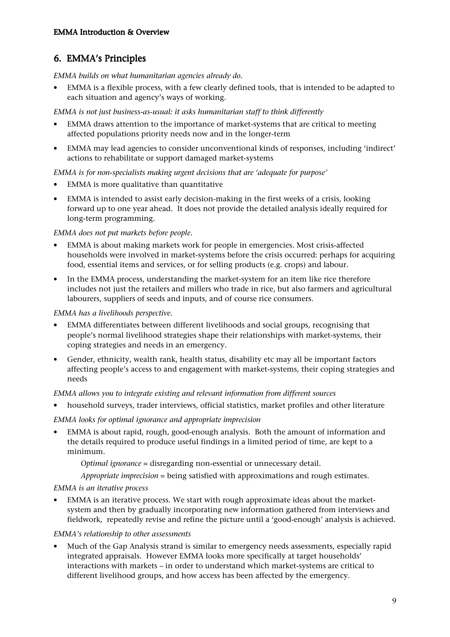# 6. EMMA's Principles

EMMA builds on what humanitarian agencies already do.

• EMMA is a flexible process, with a few clearly defined tools, that is intended to be adapted to each situation and agency's ways of working.

EMMA is not just business-as-usual: it asks humanitarian staff to think differently

- EMMA draws attention to the importance of market-systems that are critical to meeting affected populations priority needs now and in the longer-term
- EMMA may lead agencies to consider unconventional kinds of responses, including 'indirect' actions to rehabilitate or support damaged market-systems

EMMA is for non-specialists making urgent decisions that are 'adequate for purpose'

- EMMA is more qualitative than quantitative
- EMMA is intended to assist early decision-making in the first weeks of a crisis, looking forward up to one year ahead. It does not provide the detailed analysis ideally required for long-term programming.

### EMMA does not put markets before people.

- EMMA is about making markets work for people in emergencies. Most crisis-affected households were involved in market-systems before the crisis occurred: perhaps for acquiring food, essential items and services, or for selling products (e.g. crops) and labour.
- In the EMMA process, understanding the market-system for an item like rice therefore includes not just the retailers and millers who trade in rice, but also farmers and agricultural labourers, suppliers of seeds and inputs, and of course rice consumers.

#### EMMA has a livelihoods perspective.

- EMMA differentiates between different livelihoods and social groups, recognising that people's normal livelihood strategies shape their relationships with market-systems, their coping strategies and needs in an emergency.
- Gender, ethnicity, wealth rank, health status, disability etc may all be important factors affecting people's access to and engagement with market-systems, their coping strategies and needs

#### EMMA allows you to integrate existing and relevant information from different sources

• household surveys, trader interviews, official statistics, market profiles and other literature

### EMMA looks for optimal ignorance and appropriate imprecision

• EMMA is about rapid, rough, good-enough analysis. Both the amount of information and the details required to produce useful findings in a limited period of time, are kept to a minimum.

Optimal ignorance = disregarding non-essential or unnecessary detail.

Appropriate imprecision = being satisfied with approximations and rough estimates.

EMMA is an iterative process

• EMMA is an iterative process. We start with rough approximate ideas about the marketsystem and then by gradually incorporating new information gathered from interviews and fieldwork, repeatedly revise and refine the picture until a 'good-enough' analysis is achieved.

### EMMA's relationship to other assessments

• Much of the Gap Analysis strand is similar to emergency needs assessments, especially rapid integrated appraisals. However EMMA looks more specifically at target households' interactions with markets – in order to understand which market-systems are critical to different livelihood groups, and how access has been affected by the emergency.